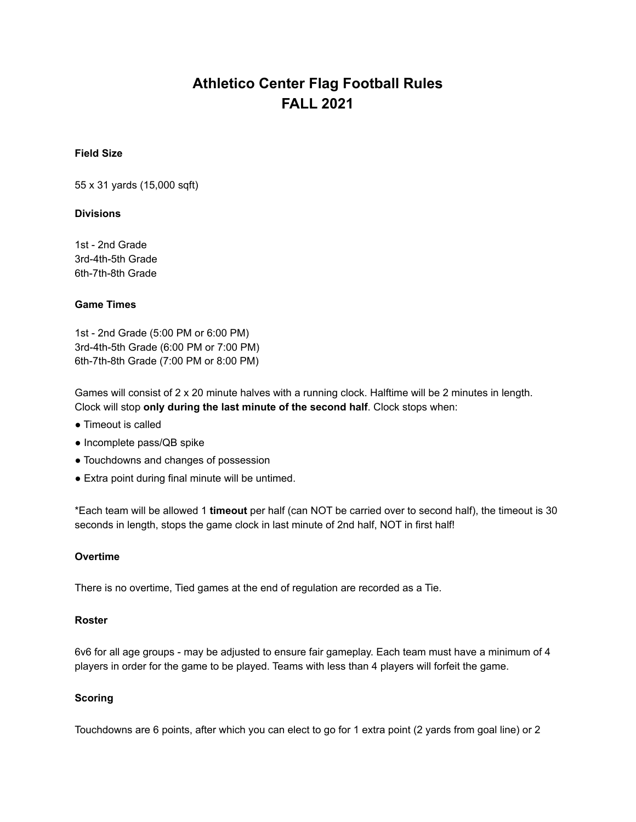# **Athletico Center Flag Football Rules FALL 2021**

## **Field Size**

55 x 31 yards (15,000 sqft)

## **Divisions**

1st - 2nd Grade 3rd-4th-5th Grade 6th-7th-8th Grade

## **Game Times**

1st - 2nd Grade (5:00 PM or 6:00 PM) 3rd-4th-5th Grade (6:00 PM or 7:00 PM) 6th-7th-8th Grade (7:00 PM or 8:00 PM)

Games will consist of 2 x 20 minute halves with a running clock. Halftime will be 2 minutes in length. Clock will stop **only during the last minute of the second half**. Clock stops when:

- Timeout is called
- Incomplete pass/QB spike
- Touchdowns and changes of possession
- Extra point during final minute will be untimed.

\*Each team will be allowed 1 **timeout** per half (can NOT be carried over to second half), the timeout is 30 seconds in length, stops the game clock in last minute of 2nd half, NOT in first half!

#### **Overtime**

There is no overtime, Tied games at the end of regulation are recorded as a Tie.

#### **Roster**

6v6 for all age groups - may be adjusted to ensure fair gameplay. Each team must have a minimum of 4 players in order for the game to be played. Teams with less than 4 players will forfeit the game.

#### **Scoring**

Touchdowns are 6 points, after which you can elect to go for 1 extra point (2 yards from goal line) or 2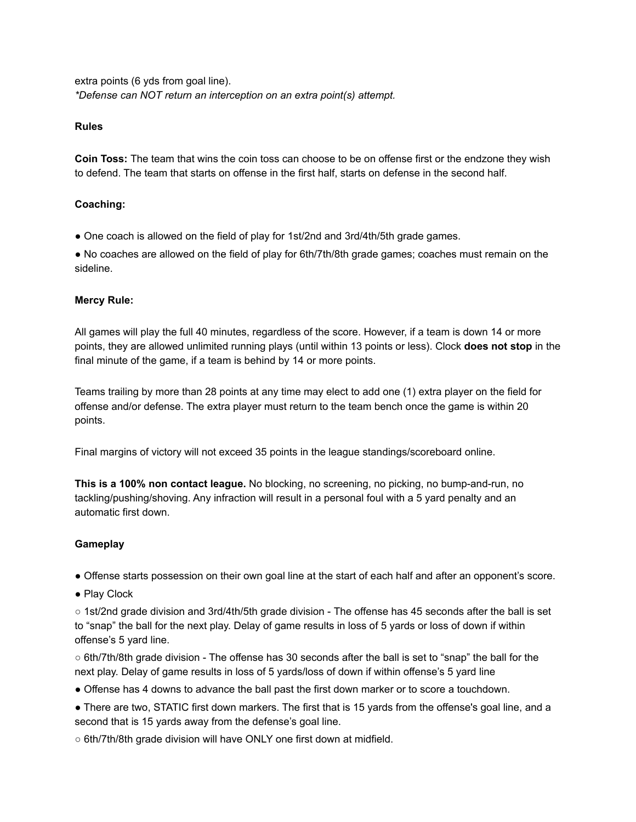extra points (6 yds from goal line). *\*Defense can NOT return an interception on an extra point(s) attempt.*

# **Rules**

**Coin Toss:** The team that wins the coin toss can choose to be on offense first or the endzone they wish to defend. The team that starts on offense in the first half, starts on defense in the second half.

# **Coaching:**

● One coach is allowed on the field of play for 1st/2nd and 3rd/4th/5th grade games.

● No coaches are allowed on the field of play for 6th/7th/8th grade games; coaches must remain on the sideline.

## **Mercy Rule:**

All games will play the full 40 minutes, regardless of the score. However, if a team is down 14 or more points, they are allowed unlimited running plays (until within 13 points or less). Clock **does not stop** in the final minute of the game, if a team is behind by 14 or more points.

Teams trailing by more than 28 points at any time may elect to add one (1) extra player on the field for offense and/or defense. The extra player must return to the team bench once the game is within 20 points.

Final margins of victory will not exceed 35 points in the league standings/scoreboard online.

**This is a 100% non contact league.** No blocking, no screening, no picking, no bump-and-run, no tackling/pushing/shoving. Any infraction will result in a personal foul with a 5 yard penalty and an automatic first down.

# **Gameplay**

● Offense starts possession on their own goal line at the start of each half and after an opponent's score.

● Play Clock

○ 1st/2nd grade division and 3rd/4th/5th grade division - The offense has 45 seconds after the ball is set to "snap" the ball for the next play. Delay of game results in loss of 5 yards or loss of down if within offense's 5 yard line.

○ 6th/7th/8th grade division - The offense has 30 seconds after the ball is set to "snap" the ball for the next play. Delay of game results in loss of 5 yards/loss of down if within offense's 5 yard line

- Offense has 4 downs to advance the ball past the first down marker or to score a touchdown.
- There are two, STATIC first down markers. The first that is 15 yards from the offense's goal line, and a second that is 15 yards away from the defense's goal line.
- 6th/7th/8th grade division will have ONLY one first down at midfield.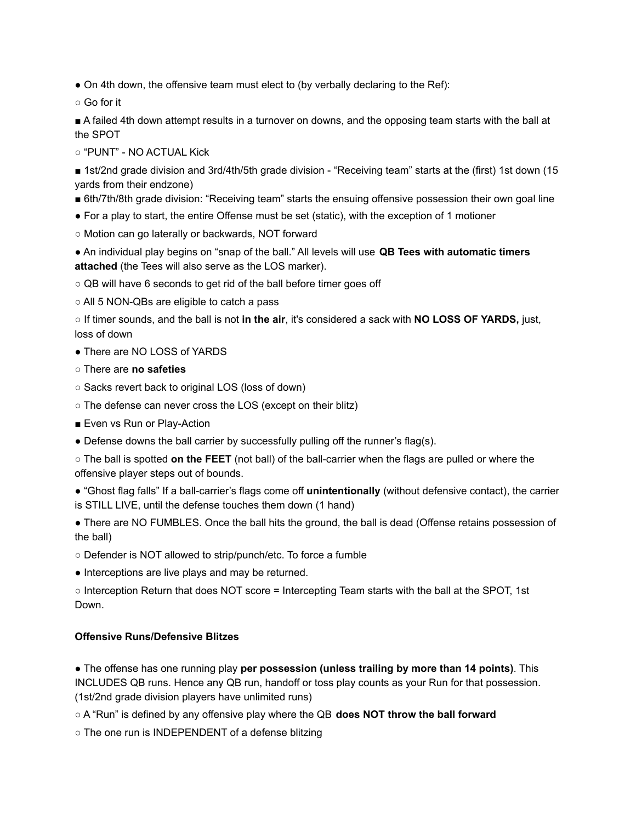• On 4th down, the offensive team must elect to (by verbally declaring to the Ref):

○ Go for it

■ A failed 4th down attempt results in a turnover on downs, and the opposing team starts with the ball at the SPOT

○ "PUNT" - NO ACTUAL Kick

■ 1st/2nd grade division and 3rd/4th/5th grade division - "Receiving team" starts at the (first) 1st down (15 yards from their endzone)

■ 6th/7th/8th grade division: "Receiving team" starts the ensuing offensive possession their own goal line

- For a play to start, the entire Offense must be set (static), with the exception of 1 motioner
- Motion can go laterally or backwards, NOT forward

● An individual play begins on "snap of the ball." All levels will use **QB Tees with automatic timers attached** (the Tees will also serve as the LOS marker).

○ QB will have 6 seconds to get rid of the ball before timer goes off

○ All 5 NON-QBs are eligible to catch a pass

○ If timer sounds, and the ball is not **in the air**, it's considered a sack with **NO LOSS OF YARDS,** just, loss of down

• There are NO LOSS of YARDS

- There are **no safeties**
- Sacks revert back to original LOS (loss of down)
- The defense can never cross the LOS (except on their blitz)
- Even vs Run or Play-Action
- Defense downs the ball carrier by successfully pulling off the runner's flag(s).

○ The ball is spotted **on the FEET** (not ball) of the ball-carrier when the flags are pulled or where the offensive player steps out of bounds.

● "Ghost flag falls" If a ball-carrier's flags come off **unintentionally** (without defensive contact), the carrier is STILL LIVE, until the defense touches them down (1 hand)

• There are NO FUMBLES. Once the ball hits the ground, the ball is dead (Offense retains possession of the ball)

○ Defender is NOT allowed to strip/punch/etc. To force a fumble

• Interceptions are live plays and may be returned.

○ Interception Return that does NOT score = Intercepting Team starts with the ball at the SPOT, 1st Down.

# **Offensive Runs/Defensive Blitzes**

● The offense has one running play **per possession (unless trailing by more than 14 points)**. This INCLUDES QB runs. Hence any QB run, handoff or toss play counts as your Run for that possession. (1st/2nd grade division players have unlimited runs)

○ A "Run" is defined by any offensive play where the QB **does NOT throw the ball forward**

○ The one run is INDEPENDENT of a defense blitzing